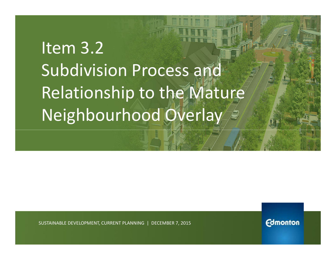# Item 3.2 Subdivision Process and Relationship to the Mature Neighbourhood Overlay

SUSTAINABLE DEVELOPMENT, CURRENT PLANNING | DECEMBER 7, 2015

**Edmonton**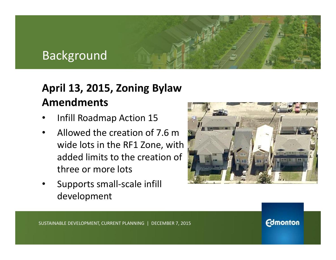### Background

#### **April 13, 2015, Zoning Bylaw Amendments**

- Infill Roadmap Action 15
- Allowed the creation of 7.6 m wide lots in the RF1 Zone, with added limits to the creation of three or more lots
- Supports small-scale infill development



**Edmonton**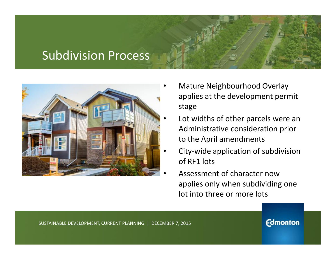#### Subdivision Process



- Mature Neighbourhood Overlay applies at the development permit stage
- Lot widths of other parcels were an Administrative consideration prior to the April amendments
- City-wide application of subdivision of RF1 lots
- Assessment of character now applies only when subdividing one lot into three or more lots

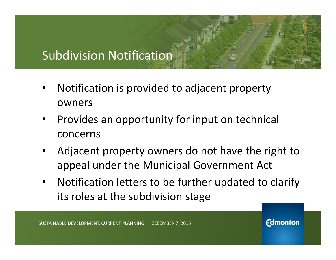## Subdivision Notification

- Notification is provided to adjacent property owners
- Provides an opportunity for input on technical concerns
- Adjacent property owners do not have the right to appeal under the Municipal Government Act
- Notification letters to be further updated to clarify its roles at the subdivision stage

**Edmonton**